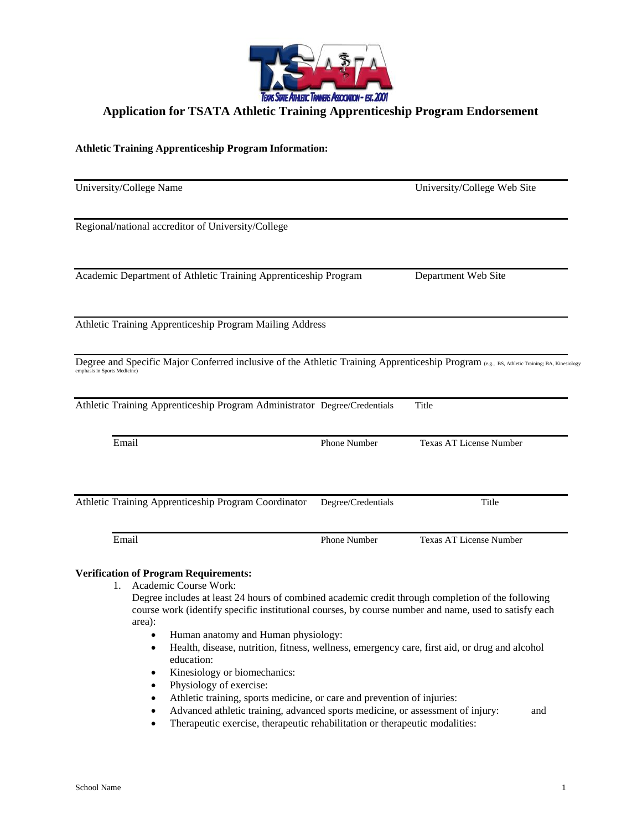

## **Application for TSATA Athletic Training Apprenticeship Program Endorsement**

## **Athletic Training Apprenticeship Program Information:**

| University/College Name                                                                                                                                                     |                    | University/College Web Site    |  |
|-----------------------------------------------------------------------------------------------------------------------------------------------------------------------------|--------------------|--------------------------------|--|
| Regional/national accreditor of University/College                                                                                                                          |                    |                                |  |
| Academic Department of Athletic Training Apprenticeship Program                                                                                                             |                    | Department Web Site            |  |
| Athletic Training Apprenticeship Program Mailing Address                                                                                                                    |                    |                                |  |
| Degree and Specific Major Conferred inclusive of the Athletic Training Apprenticeship Program (e.g., BS, Athletic Training; BA, Kinesiology<br>emphasis in Sports Medicine) |                    |                                |  |
| Athletic Training Apprenticeship Program Administrator Degree/Credentials                                                                                                   |                    | Title                          |  |
| Email                                                                                                                                                                       | Phone Number       | <b>Texas AT License Number</b> |  |
|                                                                                                                                                                             |                    |                                |  |
|                                                                                                                                                                             | Degree/Credentials | Title                          |  |
| Athletic Training Apprenticeship Program Coordinator<br>Email                                                                                                               | Phone Number       | <b>Texas AT License Number</b> |  |

Degree includes at least 24 hours of combined academic credit through completion of the following course work (identify specific institutional courses, by course number and name, used to satisfy each area):

- Human anatomy and Human physiology:
- Health, disease, nutrition, fitness, wellness, emergency care, first aid, or drug and alcohol education:
- Kinesiology or biomechanics:
- Physiology of exercise:
- Athletic training, sports medicine, or care and prevention of injuries:
- Advanced athletic training, advanced sports medicine, or assessment of injury: and
- Therapeutic exercise, therapeutic rehabilitation or therapeutic modalities: